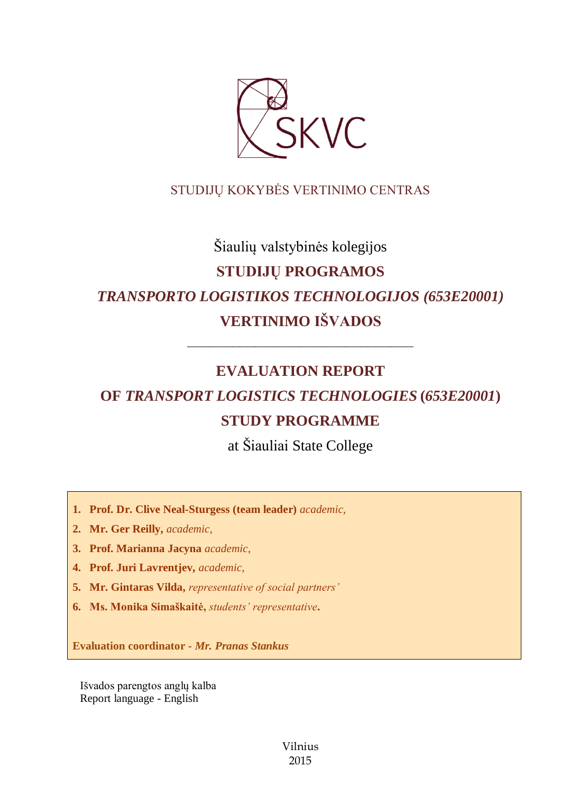

## STUDIJŲ KOKYBĖS VERTINIMO CENTRAS

# Šiaulių valstybinės kolegijos **STUDIJŲ PROGRAMOS** *TRANSPORTO LOGISTIKOS TECHNOLOGIJOS (653E20001)* **VERTINIMO IŠVADOS**

## **EVALUATION REPORT**

––––––––––––––––––––––––––––––

# **OF** *TRANSPORT LOGISTICS TECHNOLOGIES* **(***653E20001***) STUDY PROGRAMME**

at Šiauliai State College

- **1. Prof. Dr. Clive Neal-Sturgess (team leader)** *academic,*
- **2. Mr. Ger Reilly,** *academic,*
- **3. Prof. Marianna Jacyna** *academic,*
- **4. Prof. Juri Lavrentjev,** *academic,*
- **5. Mr. Gintaras Vilda,** *representative of social partners'*
- **6. Ms. Monika Simaškaitė,** *students' representative***.**

**Evaluation coordinator -** *Mr. Pranas Stankus*

Išvados parengtos anglų kalba Report language - English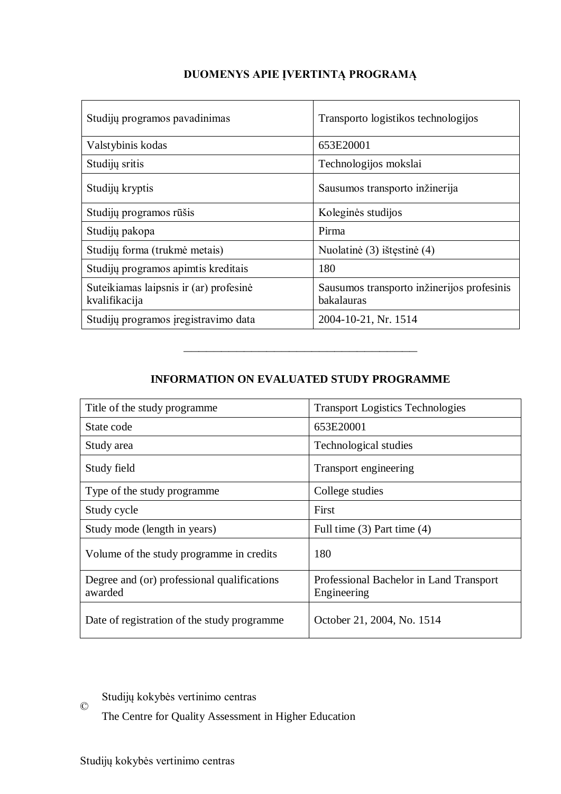| Studijų programos pavadinimas                           | Transporto logistikos technologijos                      |
|---------------------------------------------------------|----------------------------------------------------------|
| Valstybinis kodas                                       | 653E20001                                                |
| Studijų sritis                                          | Technologijos mokslai                                    |
| Studijų kryptis                                         | Sausumos transporto inžinerija                           |
| Studijų programos rūšis                                 | Koleginės studijos                                       |
| Studijų pakopa                                          | Pirma                                                    |
| Studijų forma (trukmė metais)                           | Nuolatinė (3) ištęstinė (4)                              |
| Studijų programos apimtis kreditais                     | 180                                                      |
| Suteikiamas laipsnis ir (ar) profesinė<br>kvalifikacija | Sausumos transporto inžinerijos profesinis<br>bakalauras |
| Studijų programos įregistravimo data                    | 2004-10-21, Nr. 1514                                     |

## **DUOMENYS APIE ĮVERTINTĄ PROGRAMĄ**

## **INFORMATION ON EVALUATED STUDY PROGRAMME**

–––––––––––––––––––––––––––––––

| Title of the study programme                           | <b>Transport Logistics Technologies</b>                |
|--------------------------------------------------------|--------------------------------------------------------|
| State code                                             | 653E20001                                              |
| Study area                                             | Technological studies                                  |
| Study field                                            | Transport engineering                                  |
| Type of the study programme                            | College studies                                        |
| Study cycle                                            | First                                                  |
| Study mode (length in years)                           | Full time $(3)$ Part time $(4)$                        |
| Volume of the study programme in credits               | 180                                                    |
| Degree and (or) professional qualifications<br>awarded | Professional Bachelor in Land Transport<br>Engineering |
| Date of registration of the study programme            | October 21, 2004, No. 1514                             |

#### $\copyright$ Studijų kokybės vertinimo centras

The Centre for Quality Assessment in Higher Education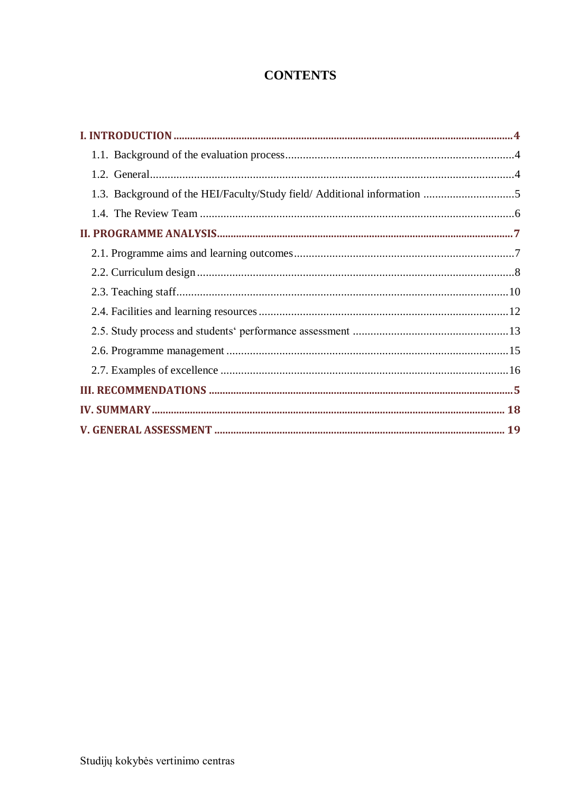## **CONTENTS**

| 1.3. Background of the HEI/Faculty/Study field/ Additional information 5 |  |
|--------------------------------------------------------------------------|--|
|                                                                          |  |
|                                                                          |  |
|                                                                          |  |
|                                                                          |  |
|                                                                          |  |
|                                                                          |  |
|                                                                          |  |
|                                                                          |  |
|                                                                          |  |
|                                                                          |  |
|                                                                          |  |
|                                                                          |  |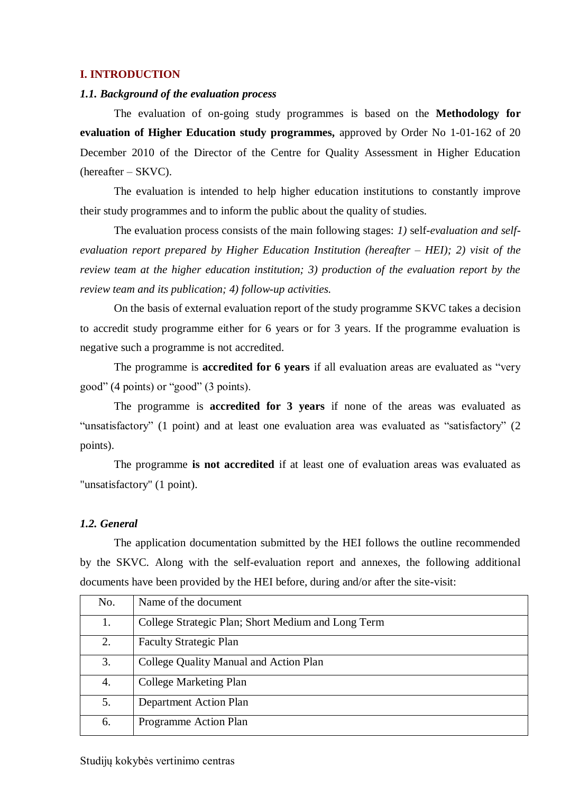#### <span id="page-3-0"></span>**I. INTRODUCTION**

#### <span id="page-3-1"></span>*1.1. Background of the evaluation process*

The evaluation of on-going study programmes is based on the **Methodology for evaluation of Higher Education study programmes,** approved by Order No 1-01-162 of 20 December 2010 of the Director of the Centre for Quality Assessment in Higher Education (hereafter – SKVC).

The evaluation is intended to help higher education institutions to constantly improve their study programmes and to inform the public about the quality of studies.

The evaluation process consists of the main following stages: *1)* self*-evaluation and selfevaluation report prepared by Higher Education Institution (hereafter – HEI); 2) visit of the review team at the higher education institution; 3) production of the evaluation report by the review team and its publication; 4) follow-up activities.* 

On the basis of external evaluation report of the study programme SKVC takes a decision to accredit study programme either for 6 years or for 3 years. If the programme evaluation is negative such a programme is not accredited.

The programme is **accredited for 6 years** if all evaluation areas are evaluated as "very good" (4 points) or "good" (3 points).

The programme is **accredited for 3 years** if none of the areas was evaluated as "unsatisfactory" (1 point) and at least one evaluation area was evaluated as "satisfactory" (2 points).

The programme **is not accredited** if at least one of evaluation areas was evaluated as "unsatisfactory" (1 point).

#### <span id="page-3-2"></span>*1.2. General*

The application documentation submitted by the HEI follows the outline recommended by the SKVC. Along with the self-evaluation report and annexes, the following additional documents have been provided by the HEI before, during and/or after the site-visit:

| No. | Name of the document                               |
|-----|----------------------------------------------------|
| 1.  | College Strategic Plan; Short Medium and Long Term |
| 2.  | <b>Faculty Strategic Plan</b>                      |
| 3.  | College Quality Manual and Action Plan             |
| 4.  | College Marketing Plan                             |
| 5.  | <b>Department Action Plan</b>                      |
| 6.  | Programme Action Plan                              |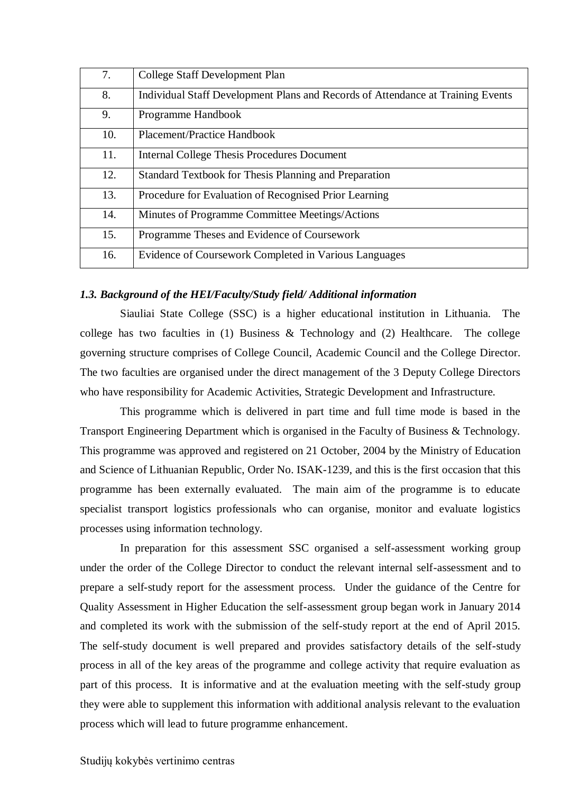| 7.  | College Staff Development Plan                                                  |
|-----|---------------------------------------------------------------------------------|
| 8.  | Individual Staff Development Plans and Records of Attendance at Training Events |
| 9.  | Programme Handbook                                                              |
| 10. | Placement/Practice Handbook                                                     |
| 11. | <b>Internal College Thesis Procedures Document</b>                              |
| 12. | Standard Textbook for Thesis Planning and Preparation                           |
| 13. | Procedure for Evaluation of Recognised Prior Learning                           |
| 14. | Minutes of Programme Committee Meetings/Actions                                 |
| 15. | Programme Theses and Evidence of Coursework                                     |
| 16. | Evidence of Coursework Completed in Various Languages                           |

#### <span id="page-4-0"></span>*1.3. Background of the HEI/Faculty/Study field/ Additional information*

Siauliai State College (SSC) is a higher educational institution in Lithuania. The college has two faculties in (1) Business & Technology and (2) Healthcare. The college governing structure comprises of College Council, Academic Council and the College Director. The two faculties are organised under the direct management of the 3 Deputy College Directors who have responsibility for Academic Activities, Strategic Development and Infrastructure.

This programme which is delivered in part time and full time mode is based in the Transport Engineering Department which is organised in the Faculty of Business & Technology. This programme was approved and registered on 21 October, 2004 by the Ministry of Education and Science of Lithuanian Republic, Order No. ISAK-1239, and this is the first occasion that this programme has been externally evaluated. The main aim of the programme is to educate specialist transport logistics professionals who can organise, monitor and evaluate logistics processes using information technology.

In preparation for this assessment SSC organised a self-assessment working group under the order of the College Director to conduct the relevant internal self-assessment and to prepare a self-study report for the assessment process. Under the guidance of the Centre for Quality Assessment in Higher Education the self-assessment group began work in January 2014 and completed its work with the submission of the self-study report at the end of April 2015. The self-study document is well prepared and provides satisfactory details of the self-study process in all of the key areas of the programme and college activity that require evaluation as part of this process. It is informative and at the evaluation meeting with the self-study group they were able to supplement this information with additional analysis relevant to the evaluation process which will lead to future programme enhancement.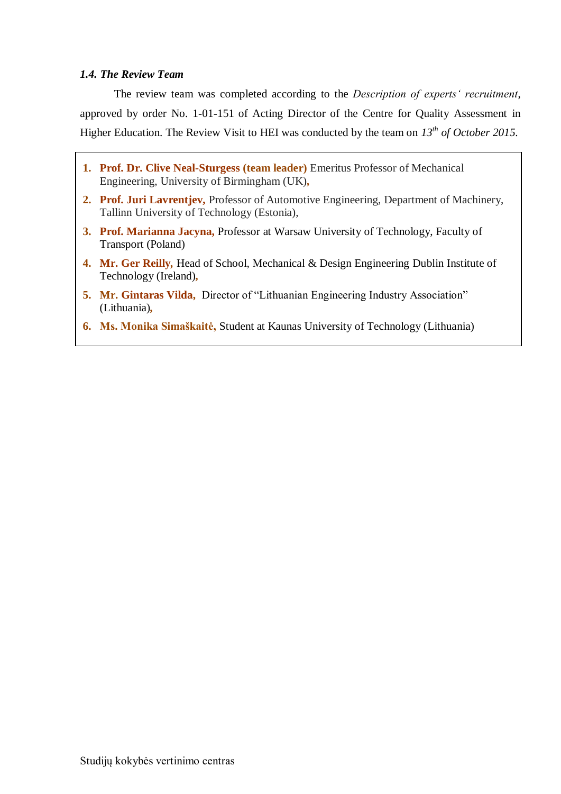#### <span id="page-5-0"></span>*1.4. The Review Team*

The review team was completed according to the *Description of experts' recruitment*, approved by order No. 1-01-151 of Acting Director of the Centre for Quality Assessment in Higher Education. The Review Visit to HEI was conducted by the team on *13th of October 2015.*

- **1. Prof. Dr. Clive Neal-Sturgess (team leader)** Emeritus Professor of Mechanical Engineering, University of Birmingham (UK)*,*
- **2. Prof. Juri Lavrentjev,** Professor of Automotive Engineering, Department of Machinery, Tallinn University of Technology (Estonia),
- **3. Prof. Marianna Jacyna,** Professor at Warsaw University of Technology, Faculty of Transport (Poland)
- **4. Mr. Ger Reilly***,* Head of School, Mechanical & Design Engineering Dublin Institute of Technology (Ireland)*,*
- **5. Mr. Gintaras Vilda,** Director of "Lithuanian Engineering Industry Association" (Lithuania)*,*
- **6. Ms. Monika Simaškaitė,** Student at Kaunas University of Technology (Lithuania)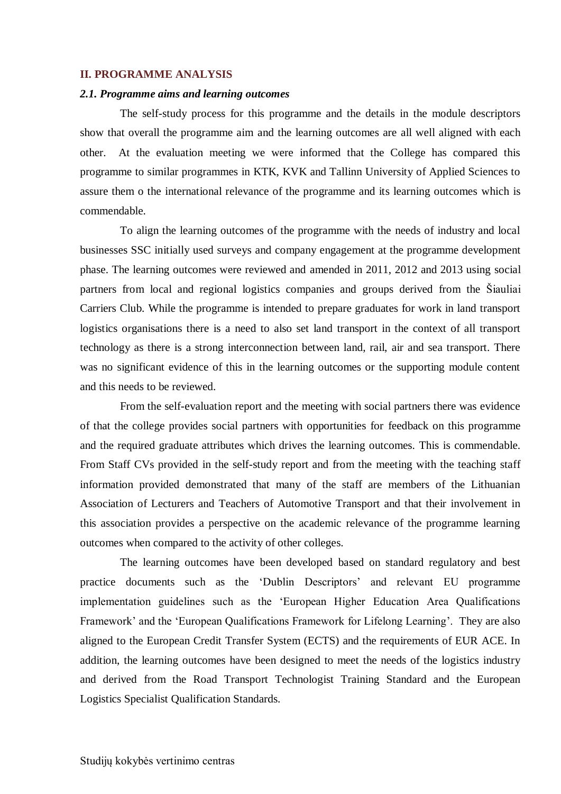#### <span id="page-6-0"></span>**II. PROGRAMME ANALYSIS**

#### <span id="page-6-1"></span>*2.1. Programme aims and learning outcomes*

The self-study process for this programme and the details in the module descriptors show that overall the programme aim and the learning outcomes are all well aligned with each other. At the evaluation meeting we were informed that the College has compared this programme to similar programmes in KTK, KVK and Tallinn University of Applied Sciences to assure them o the international relevance of the programme and its learning outcomes which is commendable.

To align the learning outcomes of the programme with the needs of industry and local businesses SSC initially used surveys and company engagement at the programme development phase. The learning outcomes were reviewed and amended in 2011, 2012 and 2013 using social partners from local and regional logistics companies and groups derived from the Šiauliai Carriers Club. While the programme is intended to prepare graduates for work in land transport logistics organisations there is a need to also set land transport in the context of all transport technology as there is a strong interconnection between land, rail, air and sea transport. There was no significant evidence of this in the learning outcomes or the supporting module content and this needs to be reviewed.

From the self-evaluation report and the meeting with social partners there was evidence of that the college provides social partners with opportunities for feedback on this programme and the required graduate attributes which drives the learning outcomes. This is commendable. From Staff CVs provided in the self-study report and from the meeting with the teaching staff information provided demonstrated that many of the staff are members of the Lithuanian Association of Lecturers and Teachers of Automotive Transport and that their involvement in this association provides a perspective on the academic relevance of the programme learning outcomes when compared to the activity of other colleges.

The learning outcomes have been developed based on standard regulatory and best practice documents such as the 'Dublin Descriptors' and relevant EU programme implementation guidelines such as the 'European Higher Education Area Qualifications Framework' and the 'European Qualifications Framework for Lifelong Learning'. They are also aligned to the European Credit Transfer System (ECTS) and the requirements of EUR ACE. In addition, the learning outcomes have been designed to meet the needs of the logistics industry and derived from the Road Transport Technologist Training Standard and the European Logistics Specialist Qualification Standards.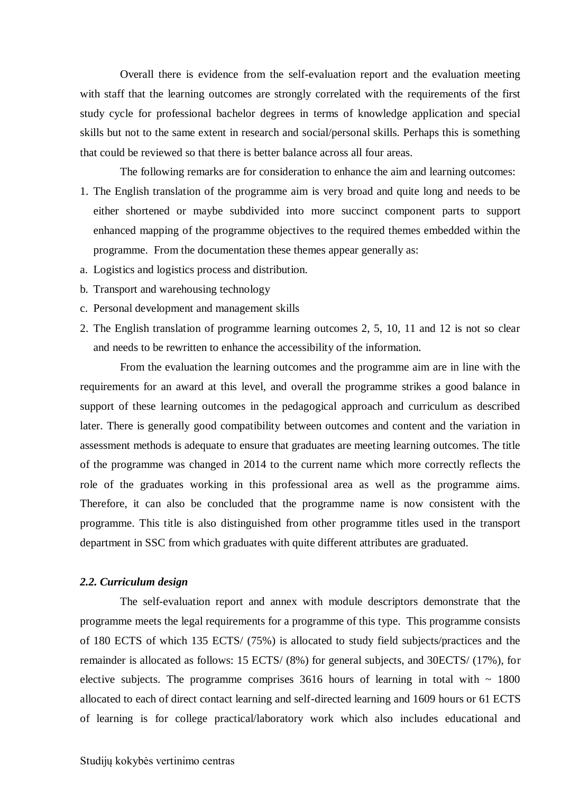Overall there is evidence from the self-evaluation report and the evaluation meeting with staff that the learning outcomes are strongly correlated with the requirements of the first study cycle for professional bachelor degrees in terms of knowledge application and special skills but not to the same extent in research and social/personal skills. Perhaps this is something that could be reviewed so that there is better balance across all four areas.

The following remarks are for consideration to enhance the aim and learning outcomes:

- 1. The English translation of the programme aim is very broad and quite long and needs to be either shortened or maybe subdivided into more succinct component parts to support enhanced mapping of the programme objectives to the required themes embedded within the programme. From the documentation these themes appear generally as:
- a. Logistics and logistics process and distribution.
- b. Transport and warehousing technology
- c. Personal development and management skills
- 2. The English translation of programme learning outcomes 2, 5, 10, 11 and 12 is not so clear and needs to be rewritten to enhance the accessibility of the information.

From the evaluation the learning outcomes and the programme aim are in line with the requirements for an award at this level, and overall the programme strikes a good balance in support of these learning outcomes in the pedagogical approach and curriculum as described later. There is generally good compatibility between outcomes and content and the variation in assessment methods is adequate to ensure that graduates are meeting learning outcomes. The title of the programme was changed in 2014 to the current name which more correctly reflects the role of the graduates working in this professional area as well as the programme aims. Therefore, it can also be concluded that the programme name is now consistent with the programme. This title is also distinguished from other programme titles used in the transport department in SSC from which graduates with quite different attributes are graduated.

#### <span id="page-7-0"></span>*2.2. Curriculum design*

The self-evaluation report and annex with module descriptors demonstrate that the programme meets the legal requirements for a programme of this type. This programme consists of 180 ECTS of which 135 ECTS/ (75%) is allocated to study field subjects/practices and the remainder is allocated as follows: 15 ECTS/ (8%) for general subjects, and 30ECTS/ (17%), for elective subjects. The programme comprises  $3616$  hours of learning in total with  $\sim 1800$ allocated to each of direct contact learning and self-directed learning and 1609 hours or 61 ECTS of learning is for college practical/laboratory work which also includes educational and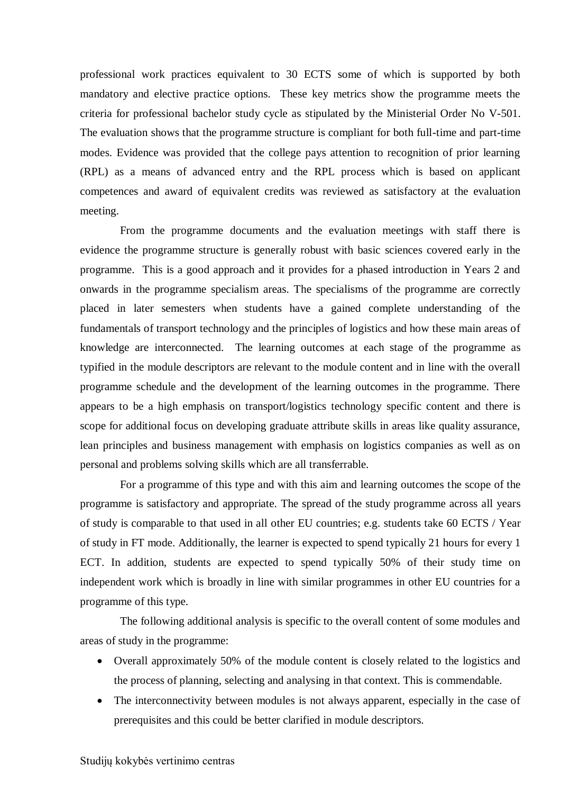professional work practices equivalent to 30 ECTS some of which is supported by both mandatory and elective practice options. These key metrics show the programme meets the criteria for professional bachelor study cycle as stipulated by the Ministerial Order No V-501. The evaluation shows that the programme structure is compliant for both full-time and part-time modes. Evidence was provided that the college pays attention to recognition of prior learning (RPL) as a means of advanced entry and the RPL process which is based on applicant competences and award of equivalent credits was reviewed as satisfactory at the evaluation meeting.

From the programme documents and the evaluation meetings with staff there is evidence the programme structure is generally robust with basic sciences covered early in the programme. This is a good approach and it provides for a phased introduction in Years 2 and onwards in the programme specialism areas. The specialisms of the programme are correctly placed in later semesters when students have a gained complete understanding of the fundamentals of transport technology and the principles of logistics and how these main areas of knowledge are interconnected. The learning outcomes at each stage of the programme as typified in the module descriptors are relevant to the module content and in line with the overall programme schedule and the development of the learning outcomes in the programme. There appears to be a high emphasis on transport/logistics technology specific content and there is scope for additional focus on developing graduate attribute skills in areas like quality assurance, lean principles and business management with emphasis on logistics companies as well as on personal and problems solving skills which are all transferrable.

For a programme of this type and with this aim and learning outcomes the scope of the programme is satisfactory and appropriate. The spread of the study programme across all years of study is comparable to that used in all other EU countries; e.g. students take 60 ECTS / Year of study in FT mode. Additionally, the learner is expected to spend typically 21 hours for every 1 ECT. In addition, students are expected to spend typically 50% of their study time on independent work which is broadly in line with similar programmes in other EU countries for a programme of this type.

The following additional analysis is specific to the overall content of some modules and areas of study in the programme:

- Overall approximately 50% of the module content is closely related to the logistics and the process of planning, selecting and analysing in that context. This is commendable.
- The interconnectivity between modules is not always apparent, especially in the case of prerequisites and this could be better clarified in module descriptors.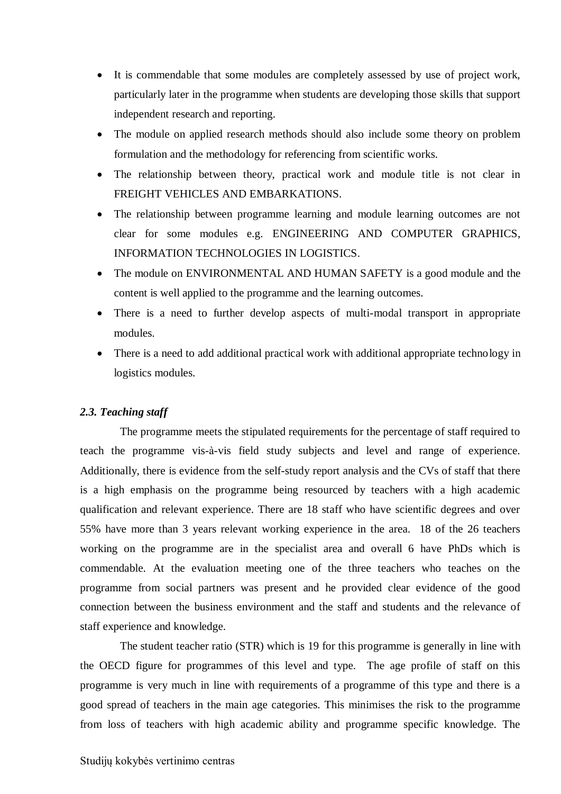- It is commendable that some modules are completely assessed by use of project work, particularly later in the programme when students are developing those skills that support independent research and reporting.
- The module on applied research methods should also include some theory on problem formulation and the methodology for referencing from scientific works.
- The relationship between theory, practical work and module title is not clear in FREIGHT VEHICLES AND EMBARKATIONS.
- The relationship between programme learning and module learning outcomes are not clear for some modules e.g. ENGINEERING AND COMPUTER GRAPHICS, INFORMATION TECHNOLOGIES IN LOGISTICS.
- The module on ENVIRONMENTAL AND HUMAN SAFETY is a good module and the content is well applied to the programme and the learning outcomes.
- There is a need to further develop aspects of multi-modal transport in appropriate modules.
- There is a need to add additional practical work with additional appropriate technology in logistics modules.

#### <span id="page-9-0"></span>*2.3. Teaching staff*

The programme meets the stipulated requirements for the percentage of staff required to teach the programme vis-à-vis field study subjects and level and range of experience. Additionally, there is evidence from the self-study report analysis and the CVs of staff that there is a high emphasis on the programme being resourced by teachers with a high academic qualification and relevant experience. There are 18 staff who have scientific degrees and over 55% have more than 3 years relevant working experience in the area. 18 of the 26 teachers working on the programme are in the specialist area and overall 6 have PhDs which is commendable. At the evaluation meeting one of the three teachers who teaches on the programme from social partners was present and he provided clear evidence of the good connection between the business environment and the staff and students and the relevance of staff experience and knowledge.

The student teacher ratio (STR) which is 19 for this programme is generally in line with the OECD figure for programmes of this level and type. The age profile of staff on this programme is very much in line with requirements of a programme of this type and there is a good spread of teachers in the main age categories. This minimises the risk to the programme from loss of teachers with high academic ability and programme specific knowledge. The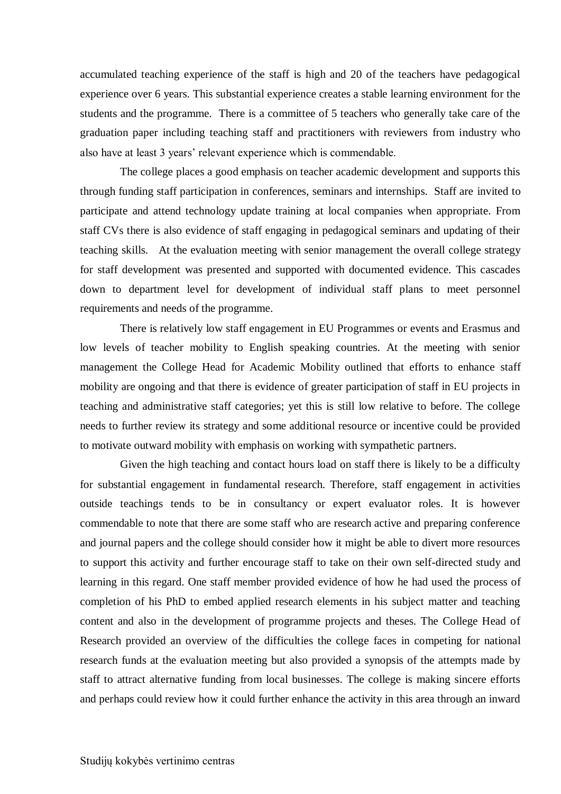accumulated teaching experience of the staff is high and 20 of the teachers have pedagogical experience over 6 years. This substantial experience creates a stable learning environment for the students and the programme. There is a committee of 5 teachers who generally take care of the graduation paper including teaching staff and practitioners with reviewers from industry who also have at least 3 years' relevant experience which is commendable.

The college places a good emphasis on teacher academic development and supports this through funding staff participation in conferences, seminars and internships. Staff are invited to participate and attend technology update training at local companies when appropriate. From staff CVs there is also evidence of staff engaging in pedagogical seminars and updating of their teaching skills. At the evaluation meeting with senior management the overall college strategy for staff development was presented and supported with documented evidence. This cascades down to department level for development of individual staff plans to meet personnel requirements and needs of the programme.

There is relatively low staff engagement in EU Programmes or events and Erasmus and low levels of teacher mobility to English speaking countries. At the meeting with senior management the College Head for Academic Mobility outlined that efforts to enhance staff mobility are ongoing and that there is evidence of greater participation of staff in EU projects in teaching and administrative staff categories; yet this is still low relative to before. The college needs to further review its strategy and some additional resource or incentive could be provided to motivate outward mobility with emphasis on working with sympathetic partners.

Given the high teaching and contact hours load on staff there is likely to be a difficulty for substantial engagement in fundamental research. Therefore, staff engagement in activities outside teachings tends to be in consultancy or expert evaluator roles. It is however commendable to note that there are some staff who are research active and preparing conference and journal papers and the college should consider how it might be able to divert more resources to support this activity and further encourage staff to take on their own self-directed study and learning in this regard. One staff member provided evidence of how he had used the process of completion of his PhD to embed applied research elements in his subject matter and teaching content and also in the development of programme projects and theses. The College Head of Research provided an overview of the difficulties the college faces in competing for national research funds at the evaluation meeting but also provided a synopsis of the attempts made by staff to attract alternative funding from local businesses. The college is making sincere efforts and perhaps could review how it could further enhance the activity in this area through an inward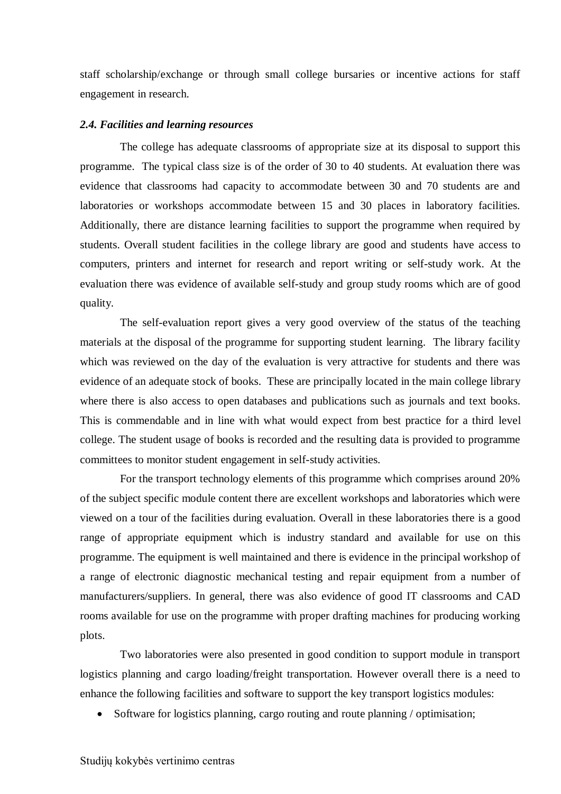staff scholarship/exchange or through small college bursaries or incentive actions for staff engagement in research.

#### <span id="page-11-0"></span>*2.4. Facilities and learning resources*

The college has adequate classrooms of appropriate size at its disposal to support this programme. The typical class size is of the order of 30 to 40 students. At evaluation there was evidence that classrooms had capacity to accommodate between 30 and 70 students are and laboratories or workshops accommodate between 15 and 30 places in laboratory facilities. Additionally, there are distance learning facilities to support the programme when required by students. Overall student facilities in the college library are good and students have access to computers, printers and internet for research and report writing or self-study work. At the evaluation there was evidence of available self-study and group study rooms which are of good quality.

The self-evaluation report gives a very good overview of the status of the teaching materials at the disposal of the programme for supporting student learning. The library facility which was reviewed on the day of the evaluation is very attractive for students and there was evidence of an adequate stock of books. These are principally located in the main college library where there is also access to open databases and publications such as journals and text books. This is commendable and in line with what would expect from best practice for a third level college. The student usage of books is recorded and the resulting data is provided to programme committees to monitor student engagement in self-study activities.

For the transport technology elements of this programme which comprises around 20% of the subject specific module content there are excellent workshops and laboratories which were viewed on a tour of the facilities during evaluation. Overall in these laboratories there is a good range of appropriate equipment which is industry standard and available for use on this programme. The equipment is well maintained and there is evidence in the principal workshop of a range of electronic diagnostic mechanical testing and repair equipment from a number of manufacturers/suppliers. In general, there was also evidence of good IT classrooms and CAD rooms available for use on the programme with proper drafting machines for producing working plots.

Two laboratories were also presented in good condition to support module in transport logistics planning and cargo loading/freight transportation. However overall there is a need to enhance the following facilities and software to support the key transport logistics modules:

• Software for logistics planning, cargo routing and route planning / optimisation;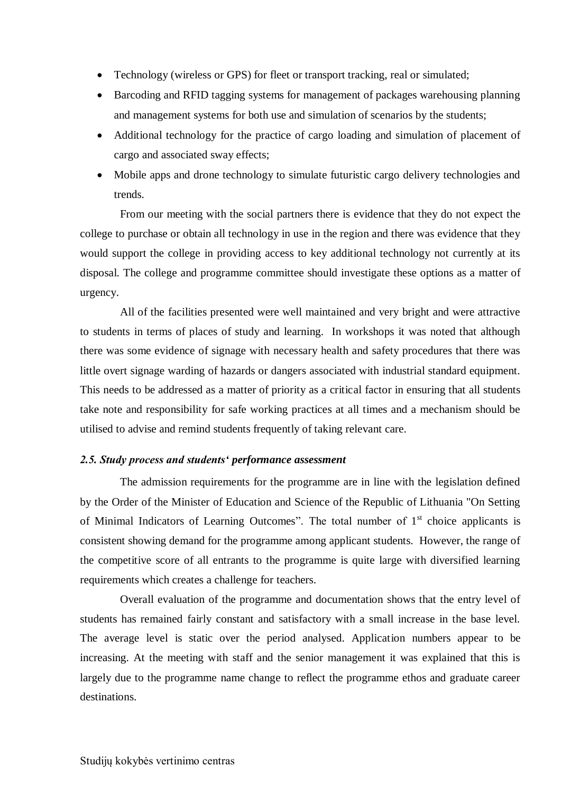- Technology (wireless or GPS) for fleet or transport tracking, real or simulated;
- Barcoding and RFID tagging systems for management of packages warehousing planning and management systems for both use and simulation of scenarios by the students;
- Additional technology for the practice of cargo loading and simulation of placement of cargo and associated sway effects;
- Mobile apps and drone technology to simulate futuristic cargo delivery technologies and trends.

From our meeting with the social partners there is evidence that they do not expect the college to purchase or obtain all technology in use in the region and there was evidence that they would support the college in providing access to key additional technology not currently at its disposal. The college and programme committee should investigate these options as a matter of urgency.

All of the facilities presented were well maintained and very bright and were attractive to students in terms of places of study and learning. In workshops it was noted that although there was some evidence of signage with necessary health and safety procedures that there was little overt signage warding of hazards or dangers associated with industrial standard equipment. This needs to be addressed as a matter of priority as a critical factor in ensuring that all students take note and responsibility for safe working practices at all times and a mechanism should be utilised to advise and remind students frequently of taking relevant care.

#### <span id="page-12-0"></span>*2.5. Study process and students' performance assessment*

The admission requirements for the programme are in line with the legislation defined by the Order of the Minister of Education and Science of the Republic of Lithuania "On Setting of Minimal Indicators of Learning Outcomes". The total number of  $1<sup>st</sup>$  choice applicants is consistent showing demand for the programme among applicant students. However, the range of the competitive score of all entrants to the programme is quite large with diversified learning requirements which creates a challenge for teachers.

Overall evaluation of the programme and documentation shows that the entry level of students has remained fairly constant and satisfactory with a small increase in the base level. The average level is static over the period analysed. Application numbers appear to be increasing. At the meeting with staff and the senior management it was explained that this is largely due to the programme name change to reflect the programme ethos and graduate career destinations.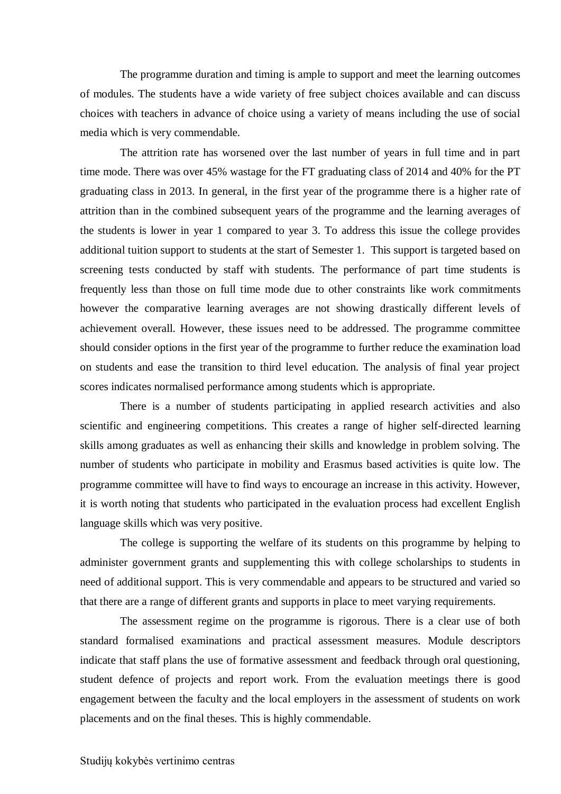The programme duration and timing is ample to support and meet the learning outcomes of modules. The students have a wide variety of free subject choices available and can discuss choices with teachers in advance of choice using a variety of means including the use of social media which is very commendable.

The attrition rate has worsened over the last number of years in full time and in part time mode. There was over 45% wastage for the FT graduating class of 2014 and 40% for the PT graduating class in 2013. In general, in the first year of the programme there is a higher rate of attrition than in the combined subsequent years of the programme and the learning averages of the students is lower in year 1 compared to year 3. To address this issue the college provides additional tuition support to students at the start of Semester 1. This support is targeted based on screening tests conducted by staff with students. The performance of part time students is frequently less than those on full time mode due to other constraints like work commitments however the comparative learning averages are not showing drastically different levels of achievement overall. However, these issues need to be addressed. The programme committee should consider options in the first year of the programme to further reduce the examination load on students and ease the transition to third level education. The analysis of final year project scores indicates normalised performance among students which is appropriate.

There is a number of students participating in applied research activities and also scientific and engineering competitions. This creates a range of higher self-directed learning skills among graduates as well as enhancing their skills and knowledge in problem solving. The number of students who participate in mobility and Erasmus based activities is quite low. The programme committee will have to find ways to encourage an increase in this activity. However, it is worth noting that students who participated in the evaluation process had excellent English language skills which was very positive.

The college is supporting the welfare of its students on this programme by helping to administer government grants and supplementing this with college scholarships to students in need of additional support. This is very commendable and appears to be structured and varied so that there are a range of different grants and supports in place to meet varying requirements.

The assessment regime on the programme is rigorous. There is a clear use of both standard formalised examinations and practical assessment measures. Module descriptors indicate that staff plans the use of formative assessment and feedback through oral questioning, student defence of projects and report work. From the evaluation meetings there is good engagement between the faculty and the local employers in the assessment of students on work placements and on the final theses. This is highly commendable.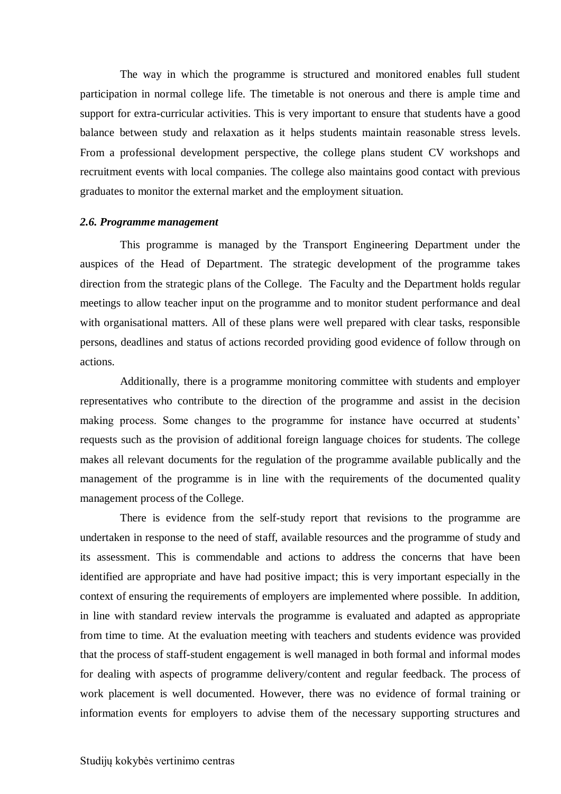The way in which the programme is structured and monitored enables full student participation in normal college life. The timetable is not onerous and there is ample time and support for extra-curricular activities. This is very important to ensure that students have a good balance between study and relaxation as it helps students maintain reasonable stress levels. From a professional development perspective, the college plans student CV workshops and recruitment events with local companies. The college also maintains good contact with previous graduates to monitor the external market and the employment situation.

#### <span id="page-14-0"></span>*2.6. Programme management*

This programme is managed by the Transport Engineering Department under the auspices of the Head of Department. The strategic development of the programme takes direction from the strategic plans of the College. The Faculty and the Department holds regular meetings to allow teacher input on the programme and to monitor student performance and deal with organisational matters. All of these plans were well prepared with clear tasks, responsible persons, deadlines and status of actions recorded providing good evidence of follow through on actions.

Additionally, there is a programme monitoring committee with students and employer representatives who contribute to the direction of the programme and assist in the decision making process. Some changes to the programme for instance have occurred at students' requests such as the provision of additional foreign language choices for students. The college makes all relevant documents for the regulation of the programme available publically and the management of the programme is in line with the requirements of the documented quality management process of the College.

There is evidence from the self-study report that revisions to the programme are undertaken in response to the need of staff, available resources and the programme of study and its assessment. This is commendable and actions to address the concerns that have been identified are appropriate and have had positive impact; this is very important especially in the context of ensuring the requirements of employers are implemented where possible. In addition, in line with standard review intervals the programme is evaluated and adapted as appropriate from time to time. At the evaluation meeting with teachers and students evidence was provided that the process of staff-student engagement is well managed in both formal and informal modes for dealing with aspects of programme delivery/content and regular feedback. The process of work placement is well documented. However, there was no evidence of formal training or information events for employers to advise them of the necessary supporting structures and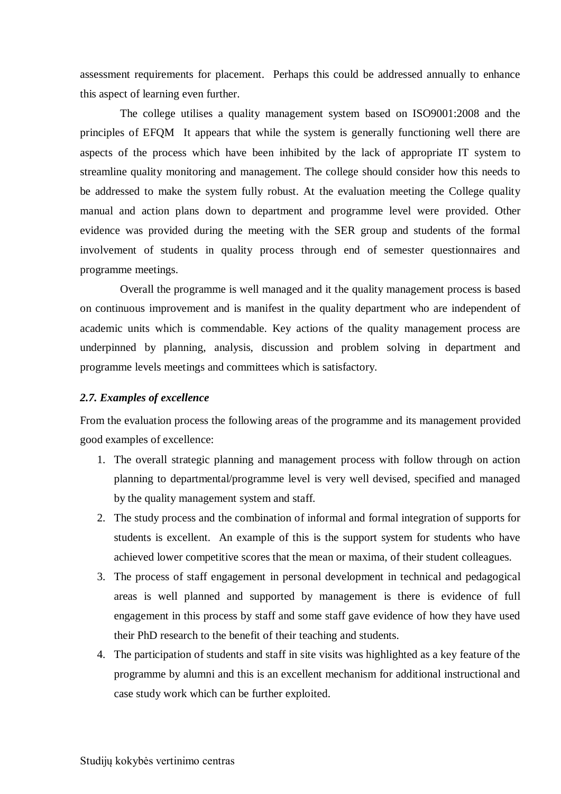assessment requirements for placement. Perhaps this could be addressed annually to enhance this aspect of learning even further.

The college utilises a quality management system based on ISO9001:2008 and the principles of EFQM It appears that while the system is generally functioning well there are aspects of the process which have been inhibited by the lack of appropriate IT system to streamline quality monitoring and management. The college should consider how this needs to be addressed to make the system fully robust. At the evaluation meeting the College quality manual and action plans down to department and programme level were provided. Other evidence was provided during the meeting with the SER group and students of the formal involvement of students in quality process through end of semester questionnaires and programme meetings.

Overall the programme is well managed and it the quality management process is based on continuous improvement and is manifest in the quality department who are independent of academic units which is commendable. Key actions of the quality management process are underpinned by planning, analysis, discussion and problem solving in department and programme levels meetings and committees which is satisfactory.

#### <span id="page-15-0"></span>*2.7. Examples of excellence*

From the evaluation process the following areas of the programme and its management provided good examples of excellence:

- 1. The overall strategic planning and management process with follow through on action planning to departmental/programme level is very well devised, specified and managed by the quality management system and staff.
- 2. The study process and the combination of informal and formal integration of supports for students is excellent. An example of this is the support system for students who have achieved lower competitive scores that the mean or maxima, of their student colleagues.
- 3. The process of staff engagement in personal development in technical and pedagogical areas is well planned and supported by management is there is evidence of full engagement in this process by staff and some staff gave evidence of how they have used their PhD research to the benefit of their teaching and students.
- 4. The participation of students and staff in site visits was highlighted as a key feature of the programme by alumni and this is an excellent mechanism for additional instructional and case study work which can be further exploited.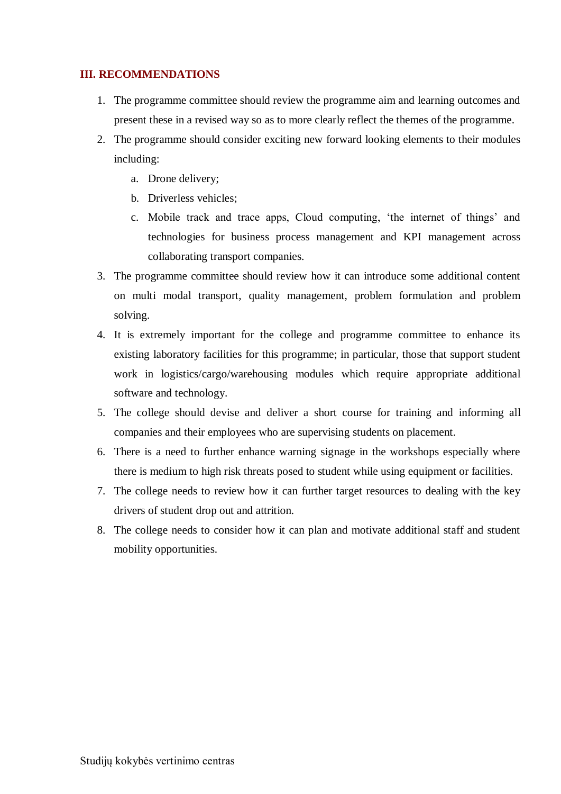#### **III. RECOMMENDATIONS**

- 1. The programme committee should review the programme aim and learning outcomes and present these in a revised way so as to more clearly reflect the themes of the programme.
- 2. The programme should consider exciting new forward looking elements to their modules including:
	- a. Drone delivery;
	- b. Driverless vehicles;
	- c. Mobile track and trace apps, Cloud computing, 'the internet of things' and technologies for business process management and KPI management across collaborating transport companies.
- 3. The programme committee should review how it can introduce some additional content on multi modal transport, quality management, problem formulation and problem solving.
- 4. It is extremely important for the college and programme committee to enhance its existing laboratory facilities for this programme; in particular, those that support student work in logistics/cargo/warehousing modules which require appropriate additional software and technology.
- 5. The college should devise and deliver a short course for training and informing all companies and their employees who are supervising students on placement.
- 6. There is a need to further enhance warning signage in the workshops especially where there is medium to high risk threats posed to student while using equipment or facilities.
- 7. The college needs to review how it can further target resources to dealing with the key drivers of student drop out and attrition.
- 8. The college needs to consider how it can plan and motivate additional staff and student mobility opportunities.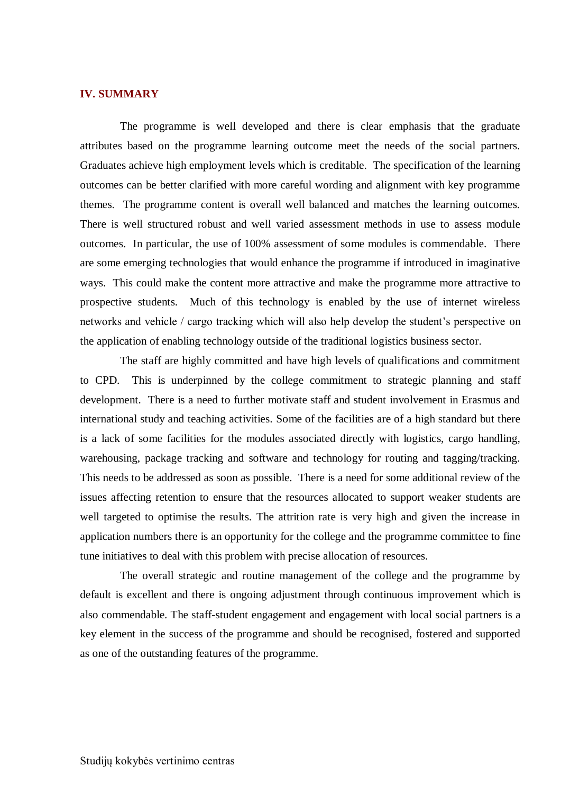#### <span id="page-17-0"></span>**IV. SUMMARY**

The programme is well developed and there is clear emphasis that the graduate attributes based on the programme learning outcome meet the needs of the social partners. Graduates achieve high employment levels which is creditable. The specification of the learning outcomes can be better clarified with more careful wording and alignment with key programme themes. The programme content is overall well balanced and matches the learning outcomes. There is well structured robust and well varied assessment methods in use to assess module outcomes. In particular, the use of 100% assessment of some modules is commendable. There are some emerging technologies that would enhance the programme if introduced in imaginative ways. This could make the content more attractive and make the programme more attractive to prospective students. Much of this technology is enabled by the use of internet wireless networks and vehicle / cargo tracking which will also help develop the student's perspective on the application of enabling technology outside of the traditional logistics business sector.

The staff are highly committed and have high levels of qualifications and commitment to CPD. This is underpinned by the college commitment to strategic planning and staff development. There is a need to further motivate staff and student involvement in Erasmus and international study and teaching activities. Some of the facilities are of a high standard but there is a lack of some facilities for the modules associated directly with logistics, cargo handling, warehousing, package tracking and software and technology for routing and tagging/tracking. This needs to be addressed as soon as possible. There is a need for some additional review of the issues affecting retention to ensure that the resources allocated to support weaker students are well targeted to optimise the results. The attrition rate is very high and given the increase in application numbers there is an opportunity for the college and the programme committee to fine tune initiatives to deal with this problem with precise allocation of resources.

The overall strategic and routine management of the college and the programme by default is excellent and there is ongoing adjustment through continuous improvement which is also commendable. The staff-student engagement and engagement with local social partners is a key element in the success of the programme and should be recognised, fostered and supported as one of the outstanding features of the programme.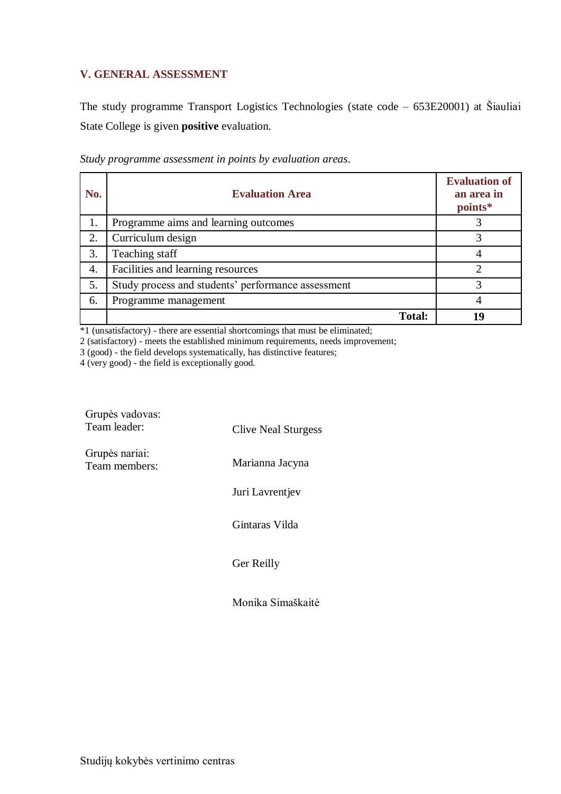### <span id="page-18-0"></span>**V. GENERAL ASSESSMENT**

The study programme Transport Logistics Technologies (state code – 653E20001) at Šiauliai State College is given **positive** evaluation.

| No. | <b>Evaluation Area</b>                             | <b>Evaluation of</b><br>an area in<br>points* |
|-----|----------------------------------------------------|-----------------------------------------------|
| 1.  | Programme aims and learning outcomes               |                                               |
| 2.  | Curriculum design                                  |                                               |
| 3.  | Teaching staff                                     |                                               |
| 4.  | Facilities and learning resources                  |                                               |
| 5.  | Study process and students' performance assessment | 3                                             |
| 6.  | Programme management                               |                                               |
|     | <b>Total:</b>                                      | 19                                            |

*Study programme assessment in points by evaluation areas*.

\*1 (unsatisfactory) - there are essential shortcomings that must be eliminated;

2 (satisfactory) - meets the established minimum requirements, needs improvement;

3 (good) - the field develops systematically, has distinctive features;

4 (very good) - the field is exceptionally good.

| Grupės vadovas:<br>Team leader: | <b>Clive Neal Sturgess</b> |
|---------------------------------|----------------------------|
| Grupės nariai:<br>Team members: | Marianna Jacyna            |
|                                 | Juri Lavrentjev            |
|                                 | Gintaras Vilda             |
|                                 | Ger Reilly                 |

Monika Simaškaitė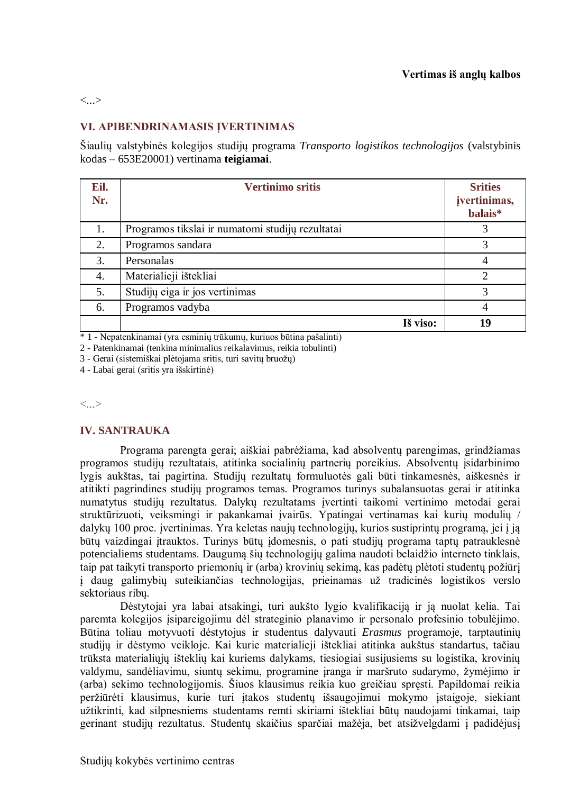<...>

### **VI. APIBENDRINAMASIS ĮVERTINIMAS**

Šiaulių valstybinės kolegijos studijų programa *Transporto logistikos technologijos* (valstybinis kodas – 653E20001) vertinama **teigiamai**.

| Eil.<br>Nr. | <b>Vertinimo sritis</b>                          | <b>Srities</b><br>jvertinimas,<br>balais* |
|-------------|--------------------------------------------------|-------------------------------------------|
| 1.          | Programos tikslai ir numatomi studijų rezultatai | 3                                         |
| 2.          | Programos sandara                                | 3                                         |
| 3.          | Personalas                                       |                                           |
| 4.          | Materialieji ištekliai                           | $\mathcal{D}_{\mathcal{L}}$               |
| 5.          | Studijų eiga ir jos vertinimas                   | 3                                         |
| 6.          | Programos vadyba                                 |                                           |
|             | Iš viso:                                         | 19                                        |

\* 1 - Nepatenkinamai (yra esminių trūkumų, kuriuos būtina pašalinti)

2 - Patenkinamai (tenkina minimalius reikalavimus, reikia tobulinti)

3 - Gerai (sistemiškai plėtojama sritis, turi savitų bruožų)

4 - Labai gerai (sritis yra išskirtinė)

<...>

#### **IV. SANTRAUKA**

Programa parengta gerai; aiškiai pabrėžiama, kad absolventų parengimas, grindžiamas programos studijų rezultatais, atitinka socialinių partnerių poreikius. Absolventų įsidarbinimo lygis aukštas, tai pagirtina. Studijų rezultatų formuluotės gali būti tinkamesnės, aiškesnės ir atitikti pagrindines studijų programos temas. Programos turinys subalansuotas gerai ir atitinka numatytus studijų rezultatus. Dalykų rezultatams įvertinti taikomi vertinimo metodai gerai struktūrizuoti, veiksmingi ir pakankamai įvairūs. Ypatingai vertinamas kai kurių modulių / dalykų 100 proc. įvertinimas. Yra keletas naujų technologijų, kurios sustiprintų programą, jei į ją būtų vaizdingai įtrauktos. Turinys būtų įdomesnis, o pati studijų programa taptų patrauklesnė potencialiems studentams. Daugumą šių technologijų galima naudoti belaidžio interneto tinklais, taip pat taikyti transporto priemonių ir (arba) krovinių sekimą, kas padėtų plėtoti studentų požiūrį į daug galimybių suteikiančias technologijas, prieinamas už tradicinės logistikos verslo sektoriaus ribų.

Dėstytojai yra labai atsakingi, turi aukšto lygio kvalifikaciją ir ją nuolat kelia. Tai paremta kolegijos įsipareigojimu dėl strateginio planavimo ir personalo profesinio tobulėjimo. Būtina toliau motyvuoti dėstytojus ir studentus dalyvauti *Erasmus* programoje, tarptautinių studijų ir dėstymo veikloje. Kai kurie materialieji ištekliai atitinka aukštus standartus, tačiau trūksta materialiųjų išteklių kai kuriems dalykams, tiesiogiai susijusiems su logistika, krovinių valdymu, sandėliavimu, siuntų sekimu, programine įranga ir maršruto sudarymo, žymėjimo ir (arba) sekimo technologijomis. Šiuos klausimus reikia kuo greičiau spręsti. Papildomai reikia peržiūrėti klausimus, kurie turi įtakos studentų išsaugojimui mokymo įstaigoje, siekiant užtikrinti, kad silpnesniems studentams remti skiriami ištekliai būtų naudojami tinkamai, taip gerinant studijų rezultatus. Studentų skaičius sparčiai mažėja, bet atsižvelgdami į padidėjusį